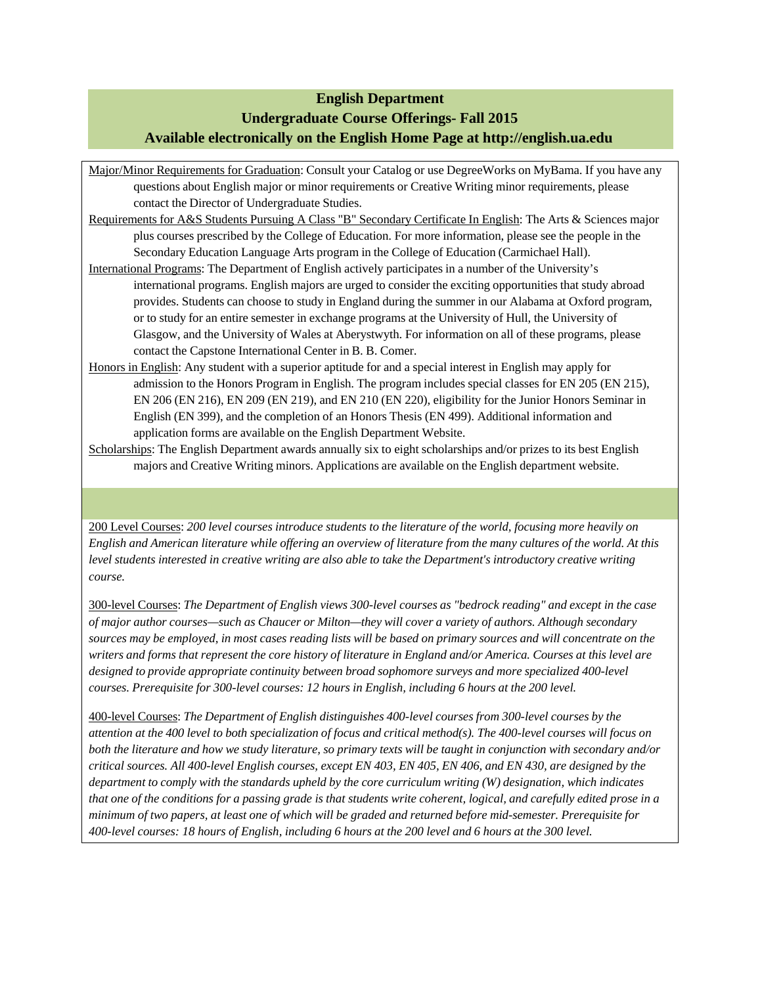#### **English Department**

# **Undergraduate Course Offerings- Fall 2015 Available electronically on the English Home Page at http://english.ua.edu**

Major/Minor Requirements for Graduation: Consult your Catalog or use DegreeWorks on MyBama. If you have any questions about English major or minor requirements or Creative Writing minor requirements, please contact the Director of Undergraduate Studies.

- Requirements for A&S Students Pursuing A Class "B" Secondary Certificate In English: The Arts & Sciences major plus courses prescribed by the College of Education. For more information, please see the people in the Secondary Education Language Arts program in the College of Education (Carmichael Hall).
- International Programs: The Department of English actively participates in a number of the University's international programs. English majors are urged to consider the exciting opportunities that study abroad provides. Students can choose to study in England during the summer in our Alabama at Oxford program, or to study for an entire semester in exchange programs at the University of Hull, the University of Glasgow, and the University of Wales at Aberystwyth. For information on all of these programs, please contact the Capstone International Center in B. B. Comer.
- Honors in English: Any student with a superior aptitude for and a special interest in English may apply for admission to the Honors Program in English. The program includes special classes for EN 205 (EN 215), EN 206 (EN 216), EN 209 (EN 219), and EN 210 (EN 220), eligibility for the Junior Honors Seminar in English (EN 399), and the completion of an Honors Thesis (EN 499). Additional information and application forms are available on the English Department Website.
- Scholarships: The English Department awards annually six to eight scholarships and/or prizes to its best English majors and Creative Writing minors. Applications are available on the English department website.

200 Level Courses: *200 level courses introduce students to the literature of the world, focusing more heavily on English and American literature while offering an overview of literature from the many cultures of the world. At this level students interested in creative writing are also able to take the Department's introductory creative writing course.*

300-level Courses: *The Department of English views 300-level courses as "bedrock reading" and except in the case of major author courses—such as Chaucer or Milton—they will cover a variety of authors. Although secondary sources may be employed, in most cases reading lists will be based on primary sources and will concentrate on the writers and forms that represent the core history of literature in England and/or America. Courses at this level are designed to provide appropriate continuity between broad sophomore surveys and more specialized 400-level courses. Prerequisite for 300-level courses: 12 hours in English, including 6 hours at the 200 level.*

400-level Courses: *The Department of English distinguishes 400-level courses from 300-level courses by the attention at the 400 level to both specialization of focus and critical method(s). The 400-level courses will focus on both the literature and how we study literature, so primary texts will be taught in conjunction with secondary and/or critical sources. All 400-level English courses, except EN 403, EN 405, EN 406, and EN 430, are designed by the department to comply with the standards upheld by the core curriculum writing (W) designation, which indicates that one of the conditions for a passing grade is that students write coherent, logical, and carefully edited prose in a minimum of two papers, at least one of which will be graded and returned before mid-semester. Prerequisite for 400-level courses: 18 hours of English, including 6 hours at the 200 level and 6 hours at the 300 level.*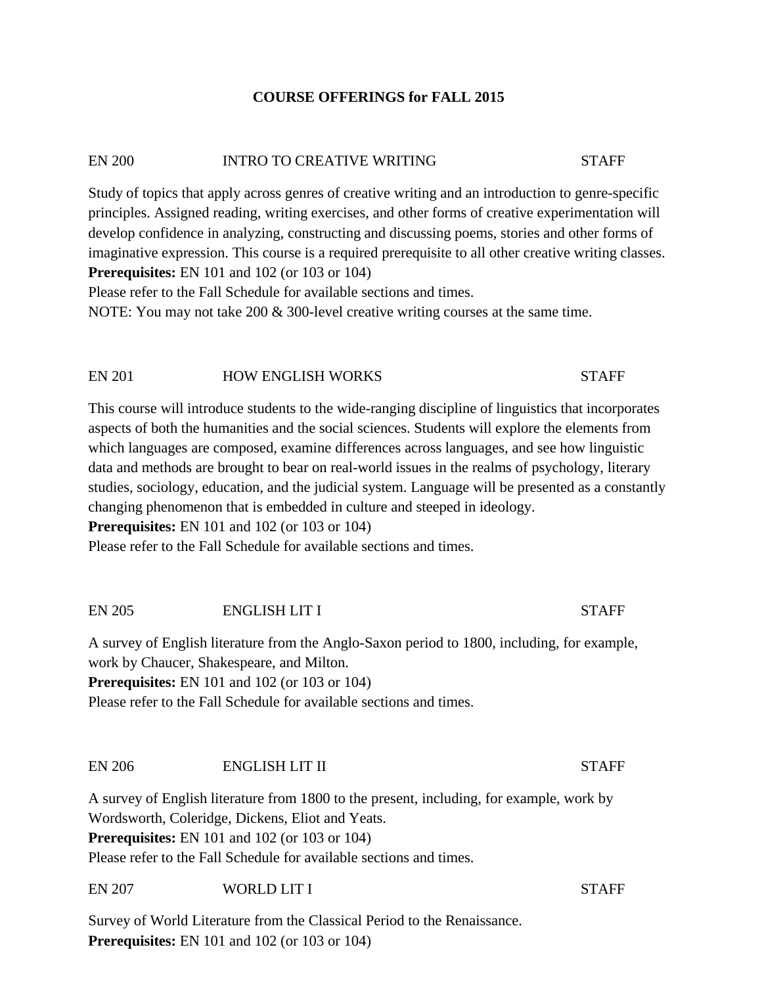### **COURSE OFFERINGS for FALL 2015**

### EN 200 INTRO TO CREATIVE WRITING STAFF

Study of topics that apply across genres of creative writing and an introduction to genre-specific principles. Assigned reading, writing exercises, and other forms of creative experimentation will develop confidence in analyzing, constructing and discussing poems, stories and other forms of imaginative expression. This course is a required prerequisite to all other creative writing classes. **Prerequisites:** EN 101 and 102 (or 103 or 104)

Please refer to the Fall Schedule for available sections and times.

NOTE: You may not take 200 & 300-level creative writing courses at the same time.

### EN 201 HOW ENGLISH WORKS STAFF

This course will introduce students to the wide-ranging discipline of linguistics that incorporates aspects of both the humanities and the social sciences. Students will explore the elements from which languages are composed, examine differences across languages, and see how linguistic data and methods are brought to bear on real-world issues in the realms of psychology, literary studies, sociology, education, and the judicial system. Language will be presented as a constantly changing phenomenon that is embedded in culture and steeped in ideology.

**Prerequisites:** EN 101 and 102 (or 103 or 104)

Please refer to the Fall Schedule for available sections and times.

### EN 205 ENGLISH LIT I STAFF

A survey of English literature from the Anglo-Saxon period to 1800, including, for example, work by Chaucer, Shakespeare, and Milton.

**Prerequisites:** EN 101 and 102 (or 103 or 104)

Please refer to the Fall Schedule for available sections and times.

# EN 206 ENGLISH LIT II STAFF

A survey of English literature from 1800 to the present, including, for example, work by Wordsworth, Coleridge, Dickens, Eliot and Yeats. **Prerequisites:** EN 101 and 102 (or 103 or 104) Please refer to the Fall Schedule for available sections and times.

EN 207 WORLD LIT I STAFF

Survey of World Literature from the Classical Period to the Renaissance. **Prerequisites:** EN 101 and 102 (or 103 or 104)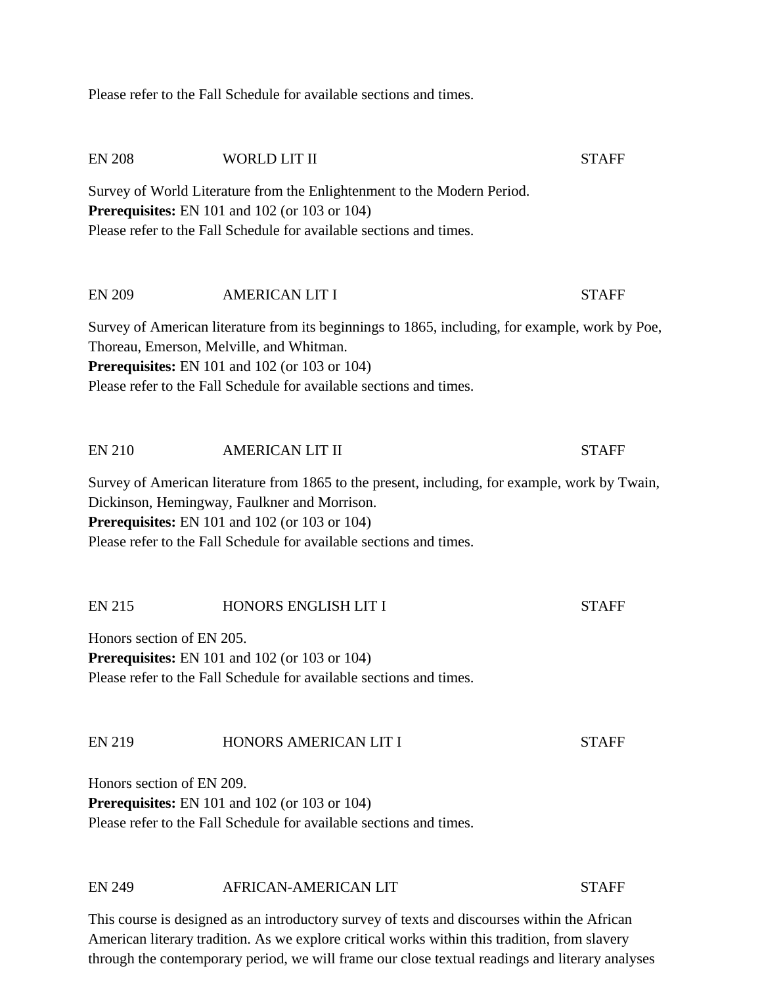Please refer to the Fall Schedule for available sections and times.

| <b>EN 208</b>                                                                                                                                                                                                                                                                 | <b>WORLD LIT II</b>                                                                                                                                                                                    | <b>STAFF</b> |  |
|-------------------------------------------------------------------------------------------------------------------------------------------------------------------------------------------------------------------------------------------------------------------------------|--------------------------------------------------------------------------------------------------------------------------------------------------------------------------------------------------------|--------------|--|
|                                                                                                                                                                                                                                                                               | Survey of World Literature from the Enlightenment to the Modern Period.<br><b>Prerequisites:</b> EN 101 and 102 (or 103 or 104)<br>Please refer to the Fall Schedule for available sections and times. |              |  |
| <b>EN 209</b>                                                                                                                                                                                                                                                                 | <b>AMERICAN LIT I</b>                                                                                                                                                                                  | <b>STAFF</b> |  |
| Survey of American literature from its beginnings to 1865, including, for example, work by Poe,<br>Thoreau, Emerson, Melville, and Whitman.<br><b>Prerequisites:</b> EN 101 and 102 (or 103 or 104)<br>Please refer to the Fall Schedule for available sections and times.    |                                                                                                                                                                                                        |              |  |
| <b>EN 210</b>                                                                                                                                                                                                                                                                 | <b>AMERICAN LIT II</b>                                                                                                                                                                                 | <b>STAFF</b> |  |
| Survey of American literature from 1865 to the present, including, for example, work by Twain,<br>Dickinson, Hemingway, Faulkner and Morrison.<br><b>Prerequisites:</b> EN 101 and 102 (or 103 or 104)<br>Please refer to the Fall Schedule for available sections and times. |                                                                                                                                                                                                        |              |  |
| <b>EN 215</b>                                                                                                                                                                                                                                                                 | HONORS ENGLISH LIT I                                                                                                                                                                                   | <b>STAFF</b> |  |
| Honors section of EN 205.<br><b>Prerequisites:</b> EN 101 and 102 (or 103 or 104)<br>Please refer to the Fall Schedule for available sections and times.                                                                                                                      |                                                                                                                                                                                                        |              |  |
| <b>EN 219</b>                                                                                                                                                                                                                                                                 | HONORS AMERICAN LIT I                                                                                                                                                                                  | <b>STAFF</b> |  |
| Honors section of EN 209.                                                                                                                                                                                                                                                     | <b>Prerequisites:</b> EN 101 and 102 (or 103 or 104)<br>Please refer to the Fall Schedule for available sections and times.                                                                            |              |  |
| <b>EN 249</b>                                                                                                                                                                                                                                                                 | AFRICAN-AMERICAN LIT                                                                                                                                                                                   | <b>STAFF</b> |  |

This course is designed as an introductory survey of texts and discourses within the African American literary tradition. As we explore critical works within this tradition, from slavery through the contemporary period, we will frame our close textual readings and literary analyses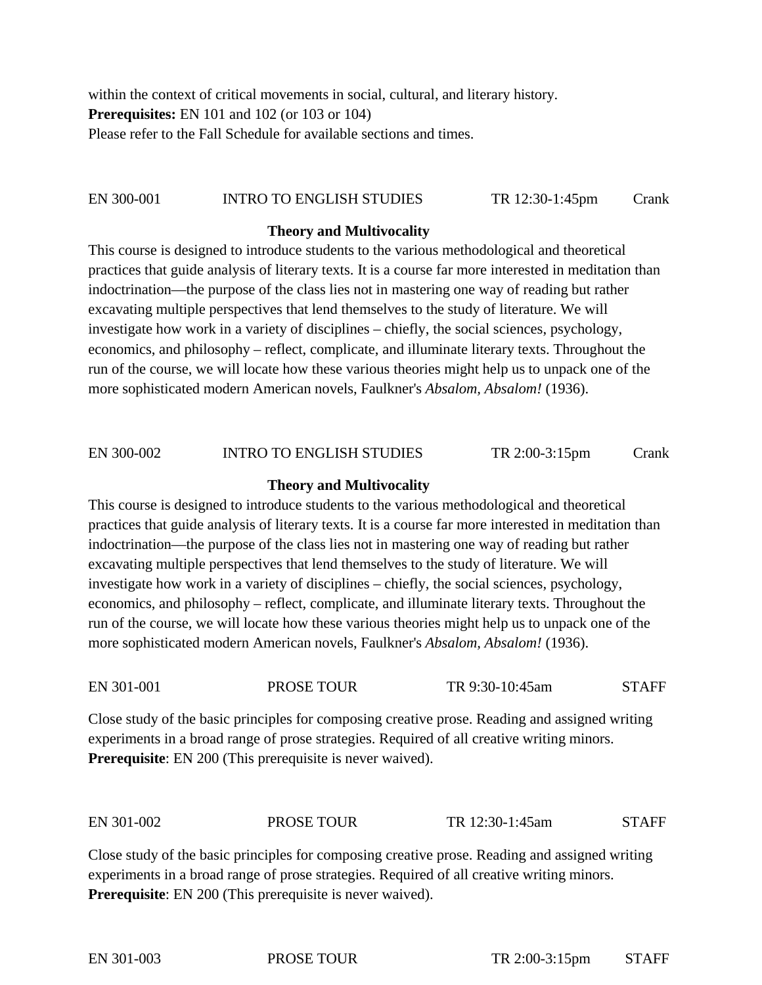within the context of critical movements in social, cultural, and literary history. **Prerequisites:** EN 101 and 102 (or 103 or 104) Please refer to the Fall Schedule for available sections and times.

# EN 300-001 INTRO TO ENGLISH STUDIES TR 12:30-1:45pm Crank

#### **Theory and Multivocality**

This course is designed to introduce students to the various methodological and theoretical practices that guide analysis of literary texts. It is a course far more interested in meditation than indoctrination—the purpose of the class lies not in mastering one way of reading but rather excavating multiple perspectives that lend themselves to the study of literature. We will investigate how work in a variety of disciplines – chiefly, the social sciences, psychology, economics, and philosophy – reflect, complicate, and illuminate literary texts. Throughout the run of the course, we will locate how these various theories might help us to unpack one of the more sophisticated modern American novels, Faulkner's *Absalom, Absalom!* (1936).

# EN 300-002 INTRO TO ENGLISH STUDIES TR 2:00-3:15pm Crank

#### **Theory and Multivocality**

This course is designed to introduce students to the various methodological and theoretical practices that guide analysis of literary texts. It is a course far more interested in meditation than indoctrination—the purpose of the class lies not in mastering one way of reading but rather excavating multiple perspectives that lend themselves to the study of literature. We will investigate how work in a variety of disciplines – chiefly, the social sciences, psychology, economics, and philosophy – reflect, complicate, and illuminate literary texts. Throughout the run of the course, we will locate how these various theories might help us to unpack one of the more sophisticated modern American novels, Faulkner's *Absalom, Absalom!* (1936).

| EN 301-001 | PROSE TOUR | TR 9:30-10:45am | <b>STAFF</b> |
|------------|------------|-----------------|--------------|
|            |            |                 |              |

Close study of the basic principles for composing creative prose. Reading and assigned writing experiments in a broad range of prose strategies. Required of all creative writing minors. **Prerequisite**: EN 200 (This prerequisite is never waived).

| EN 301-002<br>PROSE TOUR | TR 12:30-1:45am | <b>STAFF</b> |
|--------------------------|-----------------|--------------|
|--------------------------|-----------------|--------------|

Close study of the basic principles for composing creative prose. Reading and assigned writing experiments in a broad range of prose strategies. Required of all creative writing minors. **Prerequisite**: EN 200 (This prerequisite is never waived).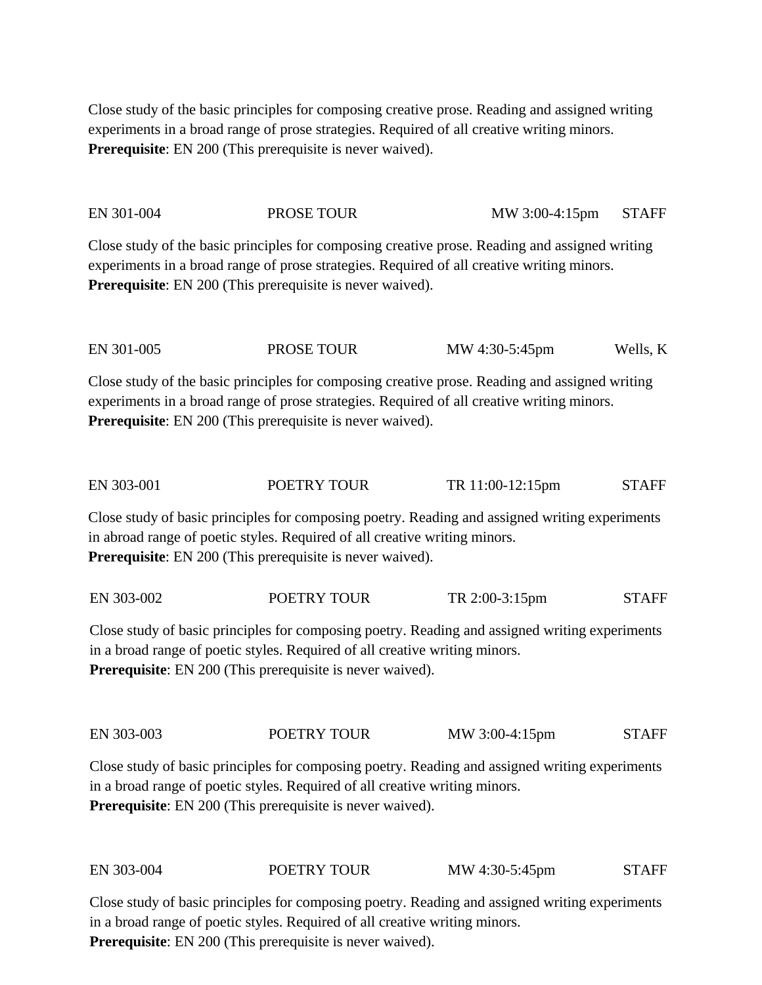Close study of the basic principles for composing creative prose. Reading and assigned writing experiments in a broad range of prose strategies. Required of all creative writing minors. **Prerequisite**: EN 200 (This prerequisite is never waived).

EN 301-004 PROSE TOUR MW 3:00-4:15pm STAFF

Close study of the basic principles for composing creative prose. Reading and assigned writing experiments in a broad range of prose strategies. Required of all creative writing minors. **Prerequisite**: EN 200 (This prerequisite is never waived).

EN 301-005 PROSE TOUR MW 4:30-5:45pm Wells, K

Close study of the basic principles for composing creative prose. Reading and assigned writing experiments in a broad range of prose strategies. Required of all creative writing minors. **Prerequisite**: EN 200 (This prerequisite is never waived).

EN 303-001 POETRY TOUR TR 11:00-12:15pm STAFF

Close study of basic principles for composing poetry. Reading and assigned writing experiments in abroad range of poetic styles. Required of all creative writing minors. **Prerequisite**: EN 200 (This prerequisite is never waived).

EN 303-002 POETRY TOUR TR 2:00-3:15pm STAFF

Close study of basic principles for composing poetry. Reading and assigned writing experiments in a broad range of poetic styles. Required of all creative writing minors. **Prerequisite**: EN 200 (This prerequisite is never waived).

EN 303-003 POETRY TOUR MW 3:00-4:15pm STAFF

Close study of basic principles for composing poetry. Reading and assigned writing experiments in a broad range of poetic styles. Required of all creative writing minors. **Prerequisite**: EN 200 (This prerequisite is never waived).

EN 303-004 POETRY TOUR MW 4:30-5:45pm STAFF

Close study of basic principles for composing poetry. Reading and assigned writing experiments in a broad range of poetic styles. Required of all creative writing minors. **Prerequisite**: EN 200 (This prerequisite is never waived).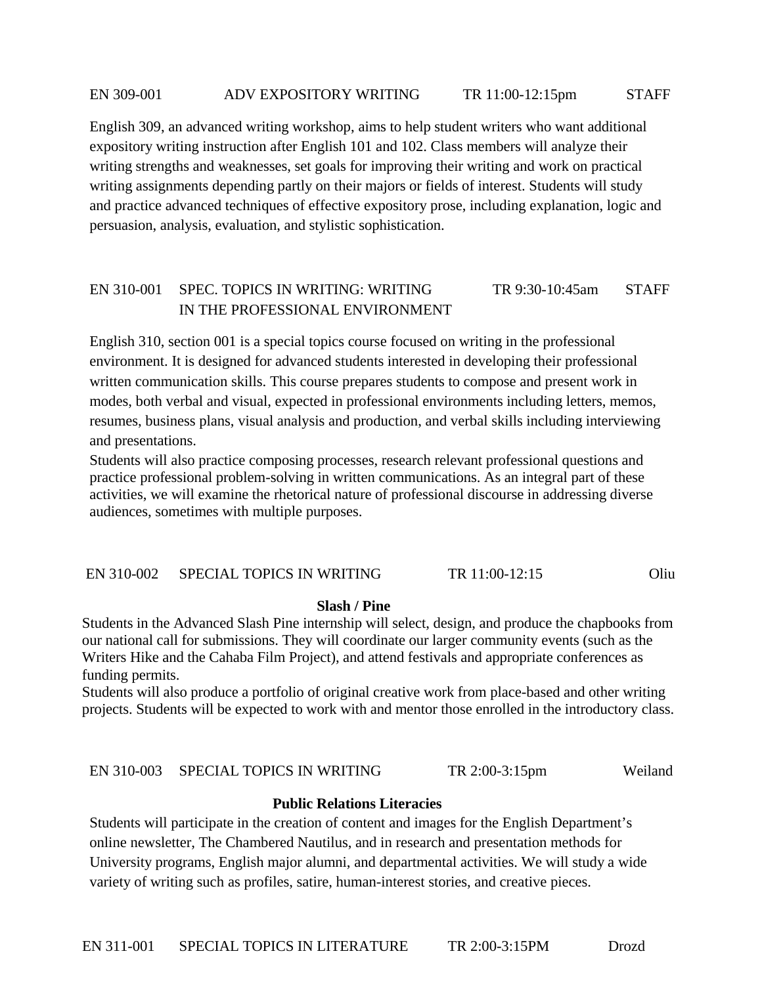#### EN 309-001 ADV EXPOSITORY WRITING TR 11:00-12:15pm STAFF

English 309, an advanced writing workshop, aims to help student writers who want additional expository writing instruction after English 101 and 102. Class members will analyze their writing strengths and weaknesses, set goals for improving their writing and work on practical writing assignments depending partly on their majors or fields of interest. Students will study and practice advanced techniques of effective expository prose, including explanation, logic and persuasion, analysis, evaluation, and stylistic sophistication.

# EN 310-001 SPEC. TOPICS IN WRITING: WRITING TR 9:30-10:45am STAFF IN THE PROFESSIONAL ENVIRONMENT

English 310, section 001 is a special topics course focused on writing in the professional environment. It is designed for advanced students interested in developing their professional written communication skills. This course prepares students to compose and present work in modes, both verbal and visual, expected in professional environments including letters, memos, resumes, business plans, visual analysis and production, and verbal skills including interviewing and presentations.

Students will also practice composing processes, research relevant professional questions and practice professional problem-solving in written communications. As an integral part of these activities, we will examine the rhetorical nature of professional discourse in addressing diverse audiences, sometimes with multiple purposes.

### EN 310-002 SPECIAL TOPICS IN WRITING TR 11:00-12:15 Oliu

#### **Slash / Pine**

Students in the Advanced Slash Pine internship will select, design, and produce the chapbooks from our national call for submissions. They will coordinate our larger community events (such as the Writers Hike and the Cahaba Film Project), and attend festivals and appropriate conferences as funding permits.

Students will also produce a portfolio of original creative work from place-based and other writing projects. Students will be expected to work with and mentor those enrolled in the introductory class.

#### EN 310-003 SPECIAL TOPICS IN WRITING TR 2:00-3:15pm Weiland

### **Public Relations Literacies**

Students will participate in the creation of content and images for the English Department's online newsletter, The Chambered Nautilus, and in research and presentation methods for University programs, English major alumni, and departmental activities. We will study a wide variety of writing such as profiles, satire, human-interest stories, and creative pieces.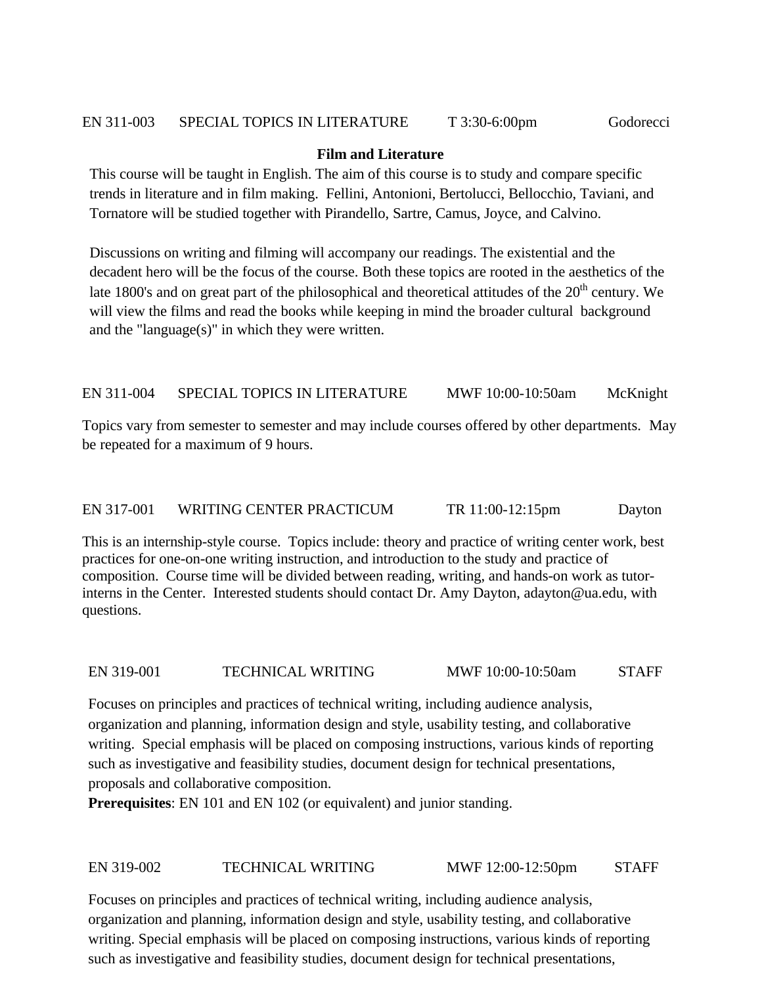# **Film and Literature**

This course will be taught in English. The aim of this course is to study and compare specific trends in literature and in film making. Fellini, Antonioni, Bertolucci, Bellocchio, Taviani, and Tornatore will be studied together with Pirandello, Sartre, Camus, Joyce, and Calvino.

Discussions on writing and filming will accompany our readings. The existential and the decadent hero will be the focus of the course. Both these topics are rooted in the aesthetics of the late 1800's and on great part of the philosophical and theoretical attitudes of the 20<sup>th</sup> century. We will view the films and read the books while keeping in mind the broader cultural background and the "language(s)" in which they were written.

# EN 311-004 SPECIAL TOPICS IN LITERATURE MWF 10:00-10:50am McKnight

Topics vary from semester to semester and may include courses offered by other departments. May be repeated for a maximum of 9 hours.

# EN 317-001 WRITING CENTER PRACTICUM TR 11:00-12:15pm Dayton

This is an internship-style course. Topics include: theory and practice of writing center work, best practices for one-on-one writing instruction, and introduction to the study and practice of composition. Course time will be divided between reading, writing, and hands-on work as tutorinterns in the Center. Interested students should contact Dr. Amy Dayton, adayton@ua.edu, with questions.

### EN 319-001 TECHNICAL WRITING MWF 10:00-10:50am STAFF

Focuses on principles and practices of technical writing, including audience analysis, organization and planning, information design and style, usability testing, and collaborative writing. Special emphasis will be placed on composing instructions, various kinds of reporting such as investigative and feasibility studies, document design for technical presentations, proposals and collaborative composition.

**Prerequisites**: EN 101 and EN 102 (or equivalent) and junior standing.

# EN 319-002 TECHNICAL WRITING MWF 12:00-12:50pm STAFF

Focuses on principles and practices of technical writing, including audience analysis, organization and planning, information design and style, usability testing, and collaborative writing. Special emphasis will be placed on composing instructions, various kinds of reporting such as investigative and feasibility studies, document design for technical presentations,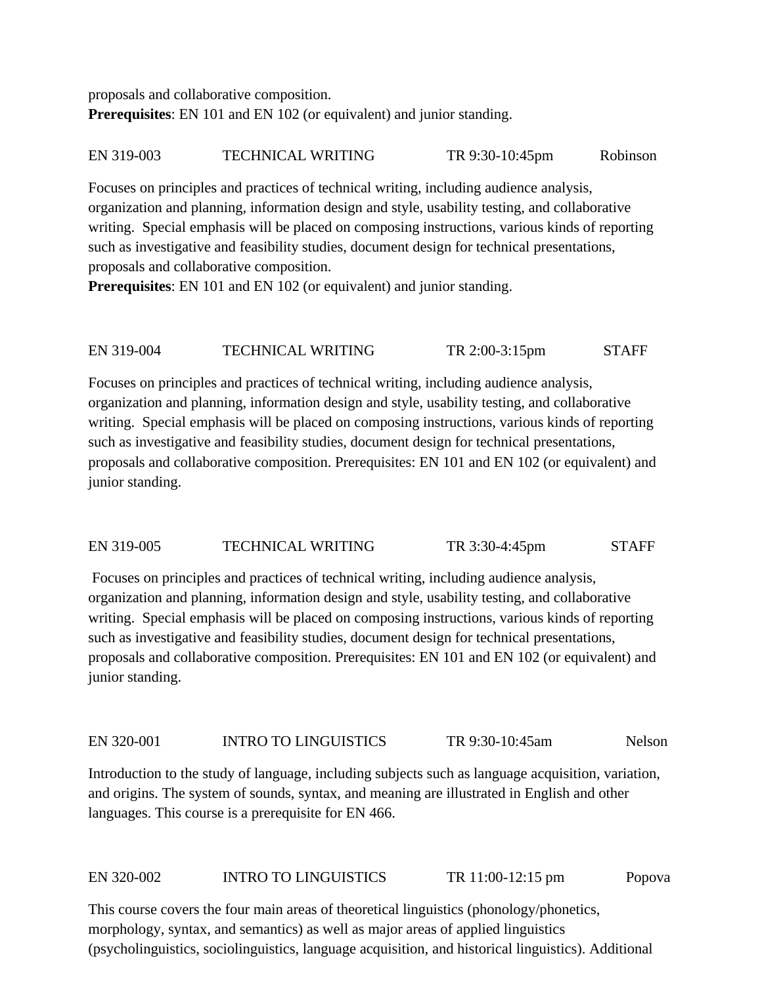proposals and collaborative composition. **Prerequisites**: EN 101 and EN 102 (or equivalent) and junior standing.

EN 319-003 TECHNICAL WRITING TR 9:30-10:45pm Robinson

Focuses on principles and practices of technical writing, including audience analysis, organization and planning, information design and style, usability testing, and collaborative writing. Special emphasis will be placed on composing instructions, various kinds of reporting such as investigative and feasibility studies, document design for technical presentations, proposals and collaborative composition.

**Prerequisites**: EN 101 and EN 102 (or equivalent) and junior standing.

EN 319-004 TECHNICAL WRITING TR 2:00-3:15pm STAFF

Focuses on principles and practices of technical writing, including audience analysis, organization and planning, information design and style, usability testing, and collaborative writing. Special emphasis will be placed on composing instructions, various kinds of reporting such as investigative and feasibility studies, document design for technical presentations, proposals and collaborative composition. Prerequisites: EN 101 and EN 102 (or equivalent) and junior standing.

# EN 319-005 TECHNICAL WRITING TR 3:30-4:45pm STAFF

Focuses on principles and practices of technical writing, including audience analysis, organization and planning, information design and style, usability testing, and collaborative writing. Special emphasis will be placed on composing instructions, various kinds of reporting such as investigative and feasibility studies, document design for technical presentations, proposals and collaborative composition. Prerequisites: EN 101 and EN 102 (or equivalent) and junior standing.

# EN 320-001 INTRO TO LINGUISTICS TR 9:30-10:45am Nelson

Introduction to the study of language, including subjects such as language acquisition, variation, and origins. The system of sounds, syntax, and meaning are illustrated in English and other languages. This course is a prerequisite for EN 466.

# EN 320-002 INTRO TO LINGUISTICS TR 11:00-12:15 pm Popova

This course covers the four main areas of theoretical linguistics (phonology/phonetics, morphology, syntax, and semantics) as well as major areas of applied linguistics (psycholinguistics, sociolinguistics, language acquisition, and historical linguistics). Additional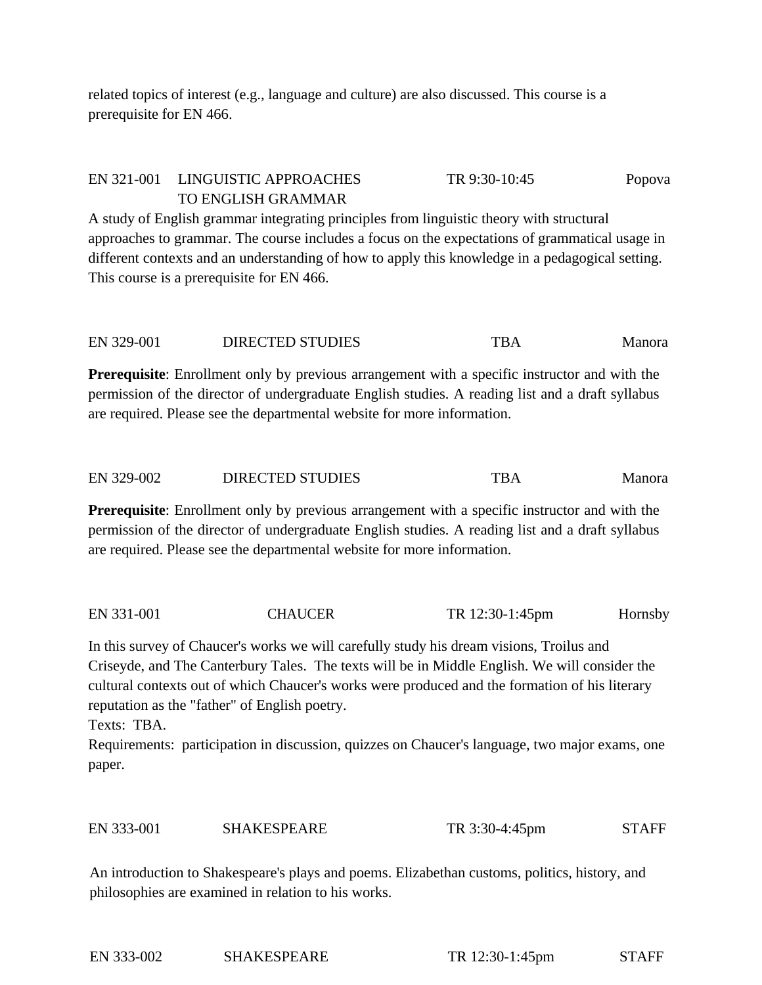related topics of interest (e.g., language and culture) are also discussed. This course is a prerequisite for EN 466.

# EN 321-001 LINGUISTIC APPROACHES TR 9:30-10:45 Popova TO ENGLISH GRAMMAR

A study of English grammar integrating principles from linguistic theory with structural approaches to grammar. The course includes a focus on the expectations of grammatical usage in different contexts and an understanding of how to apply this knowledge in a pedagogical setting. This course is a prerequisite for EN 466.

EN 329-001 DIRECTED STUDIES TERR TBA Manora

**Prerequisite**: Enrollment only by previous arrangement with a specific instructor and with the permission of the director of undergraduate English studies. A reading list and a draft syllabus are required. Please see the departmental website for more information.

| EN 329-002<br><b>DIRECTED STUDIES</b><br>TBA | Manora |
|----------------------------------------------|--------|
|----------------------------------------------|--------|

**Prerequisite**: Enrollment only by previous arrangement with a specific instructor and with the permission of the director of undergraduate English studies. A reading list and a draft syllabus are required. Please see the departmental website for more information.

EN 331-001 CHAUCER TR 12:30-1:45pm Hornsby

In this survey of Chaucer's works we will carefully study his dream visions, Troilus and Criseyde, and The Canterbury Tales. The texts will be in Middle English. We will consider the cultural contexts out of which Chaucer's works were produced and the formation of his literary reputation as the "father" of English poetry.

Texts: TBA.

Requirements: participation in discussion, quizzes on Chaucer's language, two major exams, one paper.

| EN 333-001 | <b>SHAKESPEARE</b> | TR 3:30-4:45pm | <b>STAFF</b> |
|------------|--------------------|----------------|--------------|
|            |                    |                |              |

An introduction to Shakespeare's plays and poems. Elizabethan customs, politics, history, and philosophies are examined in relation to his works.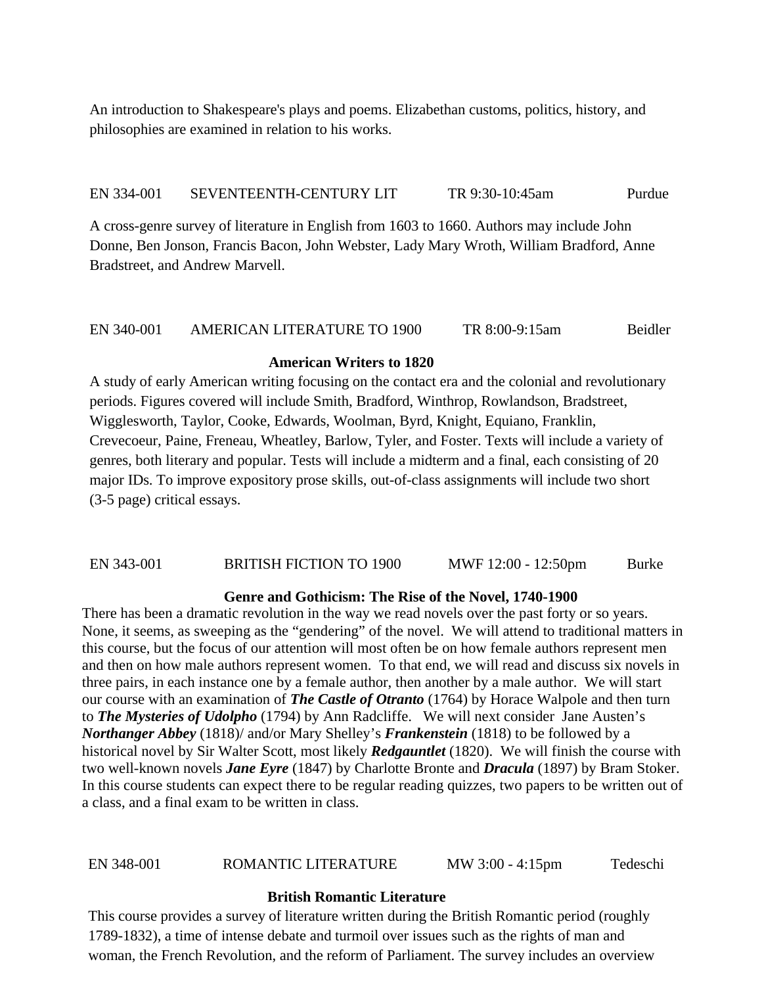An introduction to Shakespeare's plays and poems. Elizabethan customs, politics, history, and philosophies are examined in relation to his works.

### EN 334-001 SEVENTEENTH-CENTURY LIT TR 9:30-10:45am Purdue

A cross-genre survey of literature in English from 1603 to 1660. Authors may include John Donne, Ben Jonson, Francis Bacon, John Webster, Lady Mary Wroth, William Bradford, Anne Bradstreet, and Andrew Marvell.

# EN 340-001 AMERICAN LITERATURE TO 1900 TR 8:00-9:15am Beidler

# **American Writers to 1820**

A study of early American writing focusing on the contact era and the colonial and revolutionary periods. Figures covered will include Smith, Bradford, Winthrop, Rowlandson, Bradstreet, Wigglesworth, Taylor, Cooke, Edwards, Woolman, Byrd, Knight, Equiano, Franklin, Crevecoeur, Paine, Freneau, Wheatley, Barlow, Tyler, and Foster. Texts will include a variety of genres, both literary and popular. Tests will include a midterm and a final, each consisting of 20 major IDs. To improve expository prose skills, out-of-class assignments will include two short (3-5 page) critical essays.

# EN 343-001 BRITISH FICTION TO 1900 MWF 12:00 - 12:50pm Burke

### **Genre and Gothicism: The Rise of the Novel, 1740-1900**

There has been a dramatic revolution in the way we read novels over the past forty or so years. None, it seems, as sweeping as the "gendering" of the novel. We will attend to traditional matters in this course, but the focus of our attention will most often be on how female authors represent men and then on how male authors represent women. To that end, we will read and discuss six novels in three pairs, in each instance one by a female author, then another by a male author. We will start our course with an examination of *The Castle of Otranto* (1764) by Horace Walpole and then turn to *The Mysteries of Udolpho* (1794) by Ann Radcliffe. We will next consider Jane Austen's *Northanger Abbey* (1818)/ and/or Mary Shelley's *Frankenstein* (1818) to be followed by a historical novel by Sir Walter Scott, most likely *Redgauntlet* (1820). We will finish the course with two well-known novels *Jane Eyre* (1847) by Charlotte Bronte and *Dracula* (1897) by Bram Stoker. In this course students can expect there to be regular reading quizzes, two papers to be written out of a class, and a final exam to be written in class.

### EN 348-001 ROMANTIC LITERATURE MW 3:00 - 4:15pm Tedeschi

### **British Romantic Literature**

This course provides a survey of literature written during the British Romantic period (roughly 1789-1832), a time of intense debate and turmoil over issues such as the rights of man and woman, the French Revolution, and the reform of Parliament. The survey includes an overview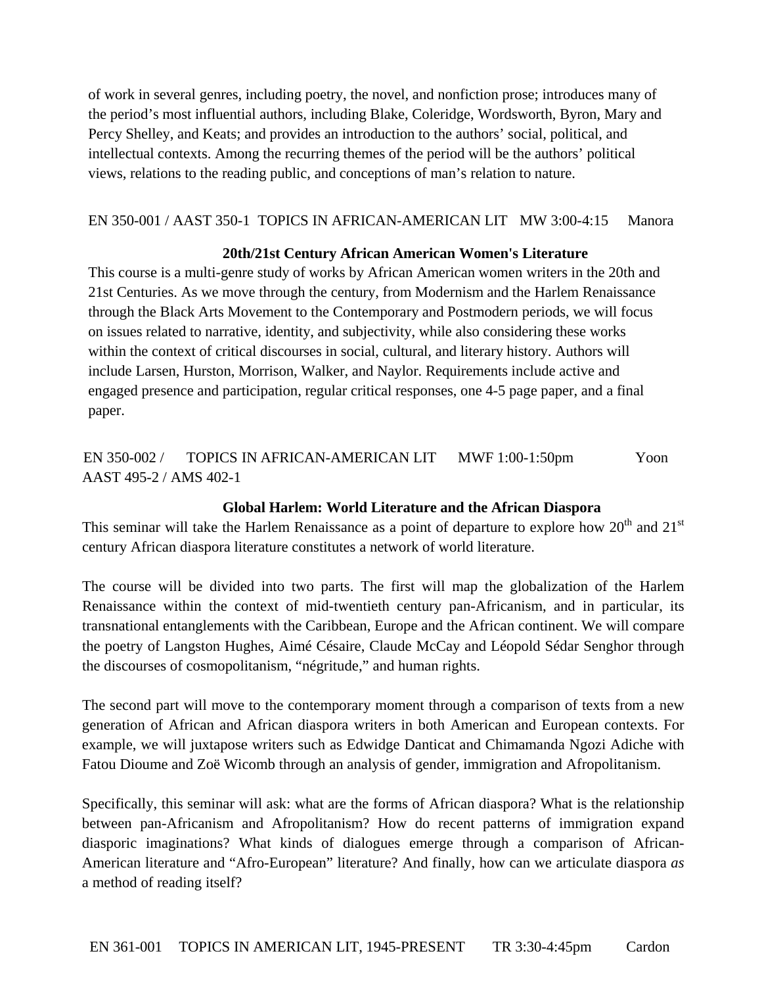of work in several genres, including poetry, the novel, and nonfiction prose; introduces many of the period's most influential authors, including Blake, Coleridge, Wordsworth, Byron, Mary and Percy Shelley, and Keats; and provides an introduction to the authors' social, political, and intellectual contexts. Among the recurring themes of the period will be the authors' political views, relations to the reading public, and conceptions of man's relation to nature.

# EN 350-001 / AAST 350-1 TOPICS IN AFRICAN-AMERICAN LIT MW 3:00-4:15 Manora

# **20th/21st Century African American Women's Literature**

This course is a multi-genre study of works by African American women writers in the 20th and 21st Centuries. As we move through the century, from Modernism and the Harlem Renaissance through the Black Arts Movement to the Contemporary and Postmodern periods, we will focus on issues related to narrative, identity, and subjectivity, while also considering these works within the context of critical discourses in social, cultural, and literary history. Authors will include Larsen, Hurston, Morrison, Walker, and Naylor. Requirements include active and engaged presence and participation, regular critical responses, one 4-5 page paper, and a final paper.

EN 350-002 / TOPICS IN AFRICAN-AMERICAN LIT MWF 1:00-1:50pm Yoon AAST 495-2 / AMS 402-1

### **Global Harlem: World Literature and the African Diaspora**

This seminar will take the Harlem Renaissance as a point of departure to explore how  $20<sup>th</sup>$  and  $21<sup>st</sup>$ century African diaspora literature constitutes a network of world literature.

The course will be divided into two parts. The first will map the globalization of the Harlem Renaissance within the context of mid-twentieth century pan-Africanism, and in particular, its transnational entanglements with the Caribbean, Europe and the African continent. We will compare the poetry of Langston Hughes, Aimé Césaire, Claude McCay and Léopold Sédar Senghor through the discourses of cosmopolitanism, "négritude," and human rights.

The second part will move to the contemporary moment through a comparison of texts from a new generation of African and African diaspora writers in both American and European contexts. For example, we will juxtapose writers such as Edwidge Danticat and Chimamanda Ngozi Adiche with Fatou Dioume and Zoë Wicomb through an analysis of gender, immigration and Afropolitanism.

Specifically, this seminar will ask: what are the forms of African diaspora? What is the relationship between pan-Africanism and Afropolitanism? How do recent patterns of immigration expand diasporic imaginations? What kinds of dialogues emerge through a comparison of African-American literature and "Afro-European" literature? And finally, how can we articulate diaspora *as* a method of reading itself?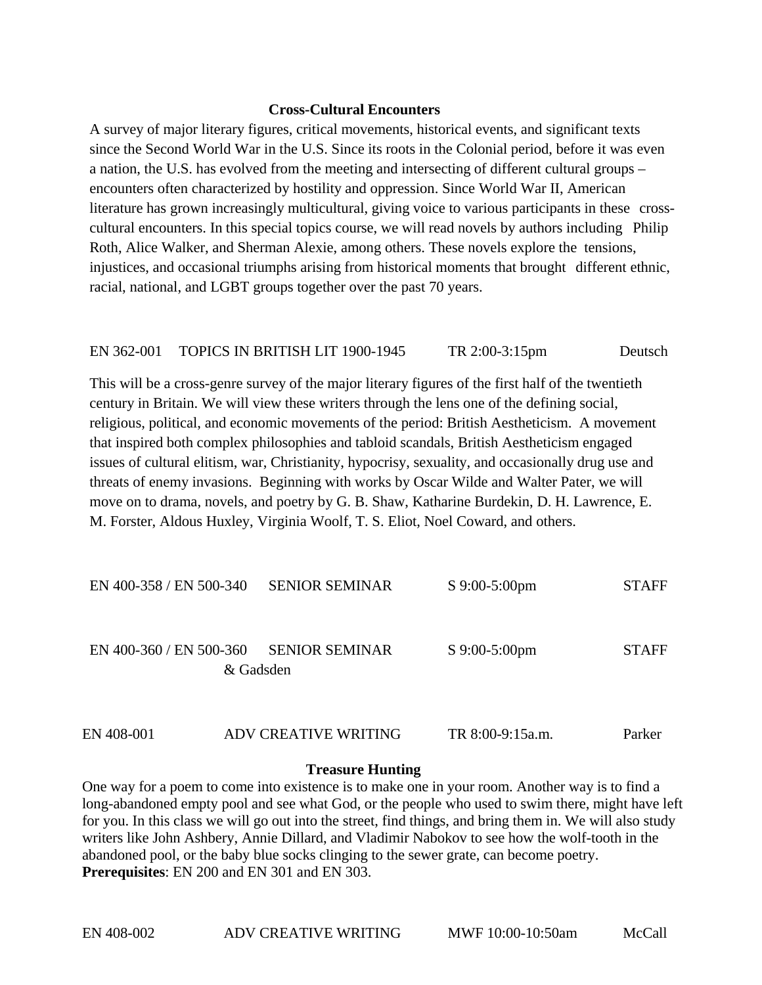### **Cross-Cultural Encounters**

A survey of major literary figures, critical movements, historical events, and significant texts since the Second World War in the U.S. Since its roots in the Colonial period, before it was even a nation, the U.S. has evolved from the meeting and intersecting of different cultural groups – encounters often characterized by hostility and oppression. Since World War II, American literature has grown increasingly multicultural, giving voice to various participants in these crosscultural encounters. In this special topics course, we will read novels by authors including Philip Roth, Alice Walker, and Sherman Alexie, among others. These novels explore the tensions, injustices, and occasional triumphs arising from historical moments that brought different ethnic, racial, national, and LGBT groups together over the past 70 years.

### EN 362-001 TOPICS IN BRITISH LIT 1900-1945 TR 2:00-3:15pm Deutsch

This will be a cross-genre survey of the major literary figures of the first half of the twentieth century in Britain. We will view these writers through the lens one of the defining social, religious, political, and economic movements of the period: British Aestheticism. A movement that inspired both complex philosophies and tabloid scandals, British Aestheticism engaged issues of cultural elitism, war, Christianity, hypocrisy, sexuality, and occasionally drug use and threats of enemy invasions. Beginning with works by Oscar Wilde and Walter Pater, we will move on to drama, novels, and poetry by G. B. Shaw, Katharine Burdekin, D. H. Lawrence, E. M. Forster, Aldous Huxley, Virginia Woolf, T. S. Eliot, Noel Coward, and others.

| EN 400-358 / EN 500-340 | <b>SENIOR SEMINAR</b>              | $S$ 9:00-5:00pm | <b>STAFF</b> |
|-------------------------|------------------------------------|-----------------|--------------|
| EN 400-360 / EN 500-360 | <b>SENIOR SEMINAR</b><br>& Gadsden | $S$ 9:00-5:00pm | <b>STAFF</b> |

# EN 408-001 ADV CREATIVE WRITING TR 8:00-9:15a.m. Parker

### **Treasure Hunting**

One way for a poem to come into existence is to make one in your room. Another way is to find a long-abandoned empty pool and see what God, or the people who used to swim there, might have left for you. In this class we will go out into the street, find things, and bring them in. We will also study writers like John Ashbery, Annie Dillard, and Vladimir Nabokov to see how the wolf-tooth in the abandoned pool, or the baby blue socks clinging to the sewer grate, can become poetry. **Prerequisites**: EN 200 and EN 301 and EN 303.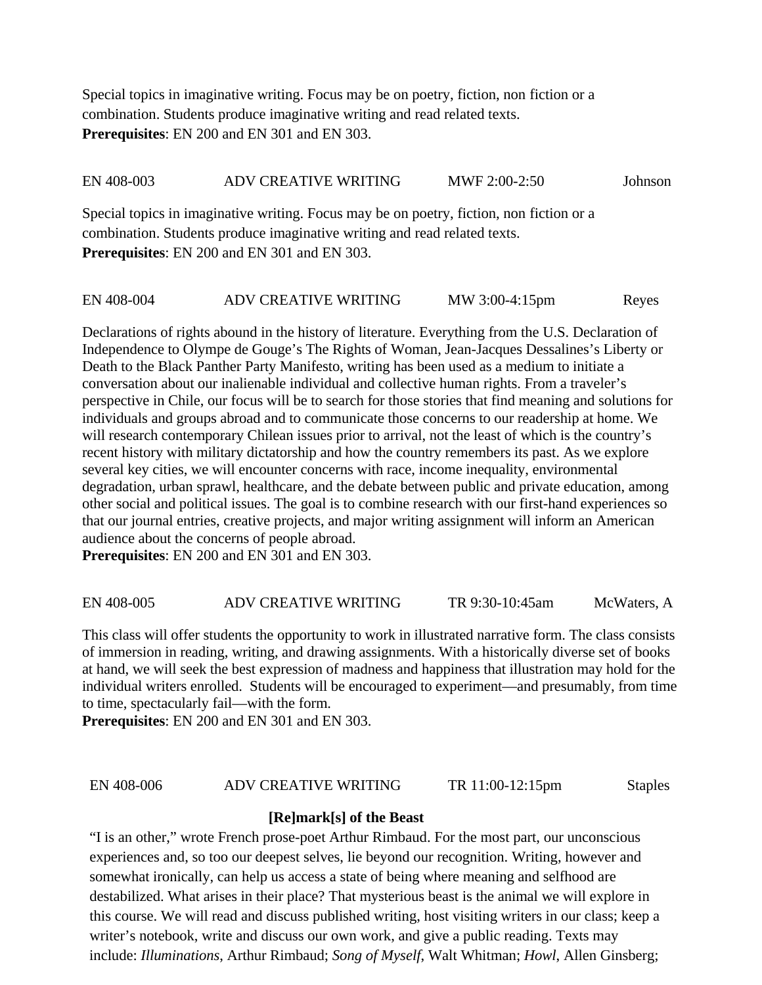Special topics in imaginative writing. Focus may be on poetry, fiction, non fiction or a combination. Students produce imaginative writing and read related texts. **Prerequisites**: EN 200 and EN 301 and EN 303.

#### EN 408-003 ADV CREATIVE WRITING MWF 2:00-2:50 Johnson

Special topics in imaginative writing. Focus may be on poetry, fiction, non fiction or a combination. Students produce imaginative writing and read related texts. **Prerequisites**: EN 200 and EN 301 and EN 303.

#### EN 408-004 ADV CREATIVE WRITING MW 3:00-4:15pm Reyes

Declarations of rights abound in the history of literature. Everything from the U.S. Declaration of Independence to Olympe de Gouge's The Rights of Woman, Jean-Jacques Dessalines's Liberty or Death to the Black Panther Party Manifesto, writing has been used as a medium to initiate a conversation about our inalienable individual and collective human rights. From a traveler's perspective in Chile, our focus will be to search for those stories that find meaning and solutions for individuals and groups abroad and to communicate those concerns to our readership at home. We will research contemporary Chilean issues prior to arrival, not the least of which is the country's recent history with military dictatorship and how the country remembers its past. As we explore several key cities, we will encounter concerns with race, income inequality, environmental degradation, urban sprawl, healthcare, and the debate between public and private education, among other social and political issues. The goal is to combine research with our first-hand experiences so that our journal entries, creative projects, and major writing assignment will inform an American audience about the concerns of people abroad.

**Prerequisites**: EN 200 and EN 301 and EN 303.

EN 408-005 ADV CREATIVE WRITING TR 9:30-10:45am McWaters, A

This class will offer students the opportunity to work in illustrated narrative form. The class consists of immersion in reading, writing, and drawing assignments. With a historically diverse set of books at hand, we will seek the best expression of madness and happiness that illustration may hold for the individual writers enrolled. Students will be encouraged to experiment—and presumably, from time to time, spectacularly fail—with the form.

**Prerequisites**: EN 200 and EN 301 and EN 303.

#### EN 408-006 ADV CREATIVE WRITING TR 11:00-12:15pm Staples

### **[Re]mark[s] of the Beast**

"I is an other," wrote French prose-poet Arthur Rimbaud. For the most part, our unconscious experiences and, so too our deepest selves, lie beyond our recognition. Writing, however and somewhat ironically, can help us access a state of being where meaning and selfhood are destabilized. What arises in their place? That mysterious beast is the animal we will explore in this course. We will read and discuss published writing, host visiting writers in our class; keep a writer's notebook, write and discuss our own work, and give a public reading. Texts may include: *Illuminations*, Arthur Rimbaud; *Song of Myself*, Walt Whitman; *Howl*, Allen Ginsberg;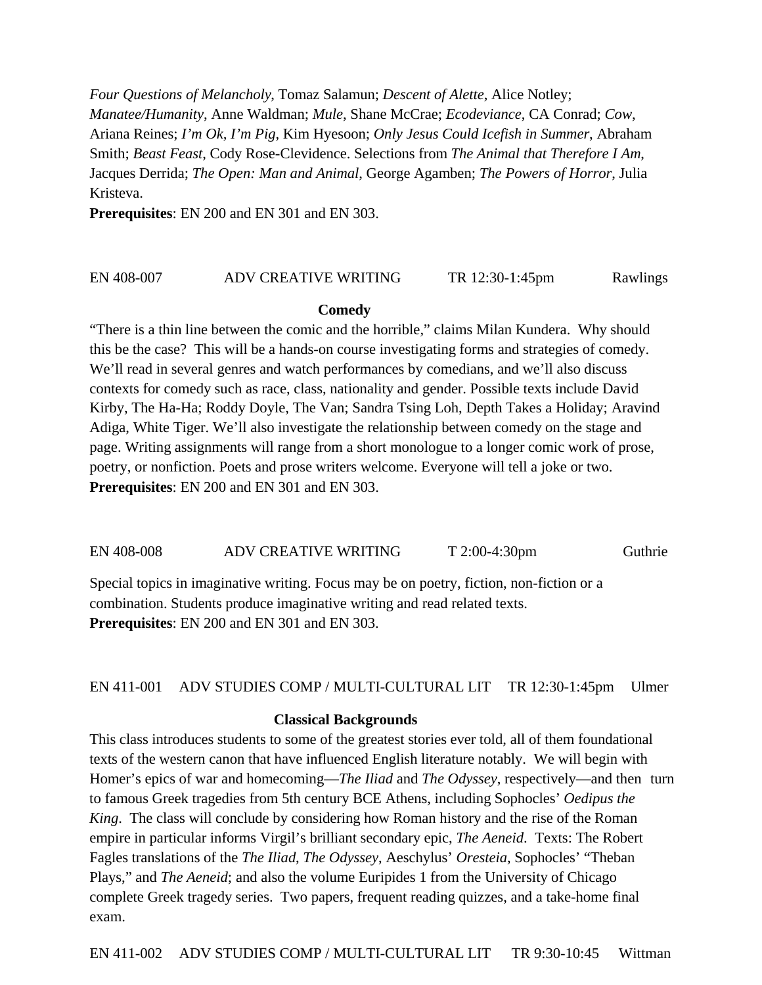*Four Questions of Melancholy*, Tomaz Salamun; *Descent of Alette*, Alice Notley; *Manatee/Humanity*, Anne Waldman; *Mule*, Shane McCrae; *Ecodeviance*, CA Conrad; *Cow*, Ariana Reines; *I'm Ok, I'm Pig*, Kim Hyesoon; *Only Jesus Could Icefish in Summer*, Abraham Smith; *Beast Feast*, Cody Rose-Clevidence. Selections from *The Animal that Therefore I Am*, Jacques Derrida; *The Open: Man and Animal*, George Agamben; *The Powers of Horror*, Julia Kristeva.

**Prerequisites**: EN 200 and EN 301 and EN 303.

#### EN 408-007 ADV CREATIVE WRITING TR 12:30-1:45pm Rawlings

#### **Comedy**

"There is a thin line between the comic and the horrible," claims Milan Kundera. Why should this be the case? This will be a hands-on course investigating forms and strategies of comedy. We'll read in several genres and watch performances by comedians, and we'll also discuss contexts for comedy such as race, class, nationality and gender. Possible texts include David Kirby, The Ha-Ha; Roddy Doyle, The Van; Sandra Tsing Loh, Depth Takes a Holiday; Aravind Adiga, White Tiger. We'll also investigate the relationship between comedy on the stage and page. Writing assignments will range from a short monologue to a longer comic work of prose, poetry, or nonfiction. Poets and prose writers welcome. Everyone will tell a joke or two. **Prerequisites**: EN 200 and EN 301 and EN 303.

EN 408-008 ADV CREATIVE WRITING T 2:00-4:30pm Guthrie

Special topics in imaginative writing. Focus may be on poetry, fiction, non-fiction or a combination. Students produce imaginative writing and read related texts. **Prerequisites**: EN 200 and EN 301 and EN 303.

EN 411-001 ADV STUDIES COMP / MULTI-CULTURAL LIT TR 12:30-1:45pm Ulmer

#### **Classical Backgrounds**

This class introduces students to some of the greatest stories ever told, all of them foundational texts of the western canon that have influenced English literature notably. We will begin with Homer's epics of war and homecoming—*The Iliad* and *The Odyssey*, respectively—and then turn to famous Greek tragedies from 5th century BCE Athens, including Sophocles' *Oedipus the King*. The class will conclude by considering how Roman history and the rise of the Roman empire in particular informs Virgil's brilliant secondary epic, *The Aeneid*. Texts: The Robert Fagles translations of the *The Iliad*, *The Odyssey*, Aeschylus' *Oresteia*, Sophocles' "Theban Plays," and *The Aeneid*; and also the volume Euripides 1 from the University of Chicago complete Greek tragedy series. Two papers, frequent reading quizzes, and a take-home final exam.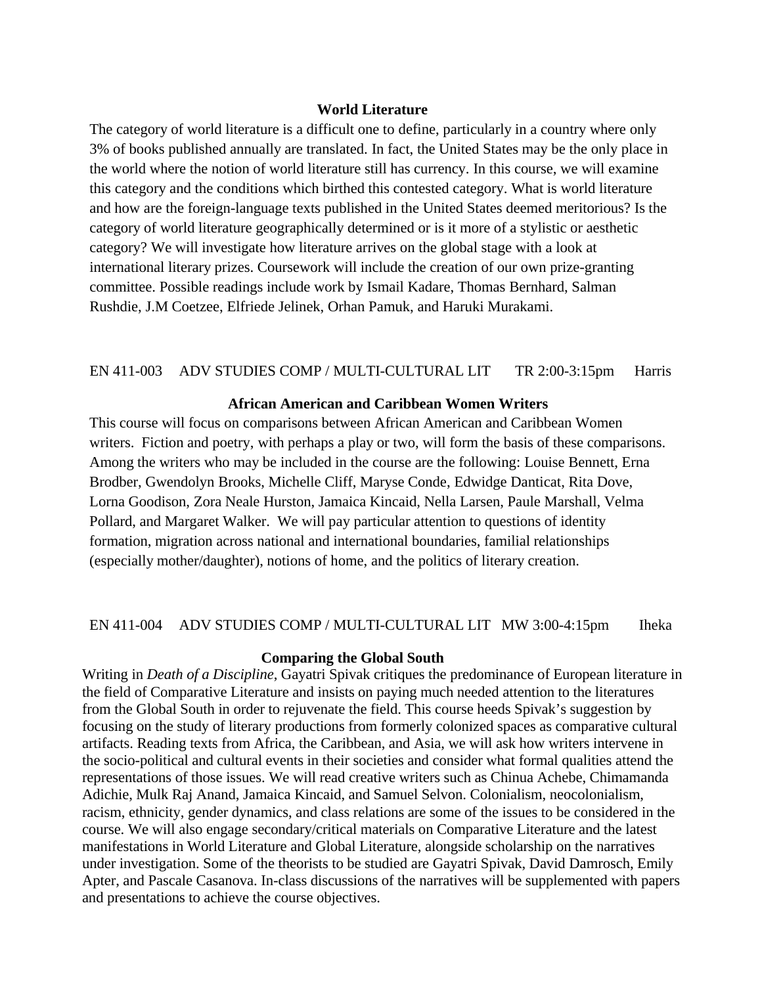#### **World Literature**

The category of world literature is a difficult one to define, particularly in a country where only 3% of books published annually are translated. In fact, the United States may be the only place in the world where the notion of world literature still has currency. In this course, we will examine this category and the conditions which birthed this contested category. What is world literature and how are the foreign-language texts published in the United States deemed meritorious? Is the category of world literature geographically determined or is it more of a stylistic or aesthetic category? We will investigate how literature arrives on the global stage with a look at international literary prizes. Coursework will include the creation of our own prize-granting committee. Possible readings include work by Ismail Kadare, Thomas Bernhard, Salman Rushdie, J.M Coetzee, Elfriede Jelinek, Orhan Pamuk, and Haruki Murakami.

#### EN 411-003 ADV STUDIES COMP / MULTI-CULTURAL LIT TR 2:00-3:15pm Harris

### **African American and Caribbean Women Writers**

This course will focus on comparisons between African American and Caribbean Women writers. Fiction and poetry, with perhaps a play or two, will form the basis of these comparisons. Among the writers who may be included in the course are the following: Louise Bennett, Erna Brodber, Gwendolyn Brooks, Michelle Cliff, Maryse Conde, Edwidge Danticat, Rita Dove, Lorna Goodison, Zora Neale Hurston, Jamaica Kincaid, Nella Larsen, Paule Marshall, Velma Pollard, and Margaret Walker. We will pay particular attention to questions of identity formation, migration across national and international boundaries, familial relationships (especially mother/daughter), notions of home, and the politics of literary creation.

#### EN 411-004 ADV STUDIES COMP / MULTI-CULTURAL LIT MW 3:00-4:15pm Iheka

#### **Comparing the Global South**

Writing in *Death of a Discipline*, Gayatri Spivak critiques the predominance of European literature in the field of Comparative Literature and insists on paying much needed attention to the literatures from the Global South in order to rejuvenate the field. This course heeds Spivak's suggestion by focusing on the study of literary productions from formerly colonized spaces as comparative cultural artifacts. Reading texts from Africa, the Caribbean, and Asia, we will ask how writers intervene in the socio-political and cultural events in their societies and consider what formal qualities attend the representations of those issues. We will read creative writers such as Chinua Achebe, Chimamanda Adichie, Mulk Raj Anand, Jamaica Kincaid, and Samuel Selvon. Colonialism, neocolonialism, racism, ethnicity, gender dynamics, and class relations are some of the issues to be considered in the course. We will also engage secondary/critical materials on Comparative Literature and the latest manifestations in World Literature and Global Literature, alongside scholarship on the narratives under investigation. Some of the theorists to be studied are Gayatri Spivak, David Damrosch, Emily Apter, and Pascale Casanova. In-class discussions of the narratives will be supplemented with papers and presentations to achieve the course objectives.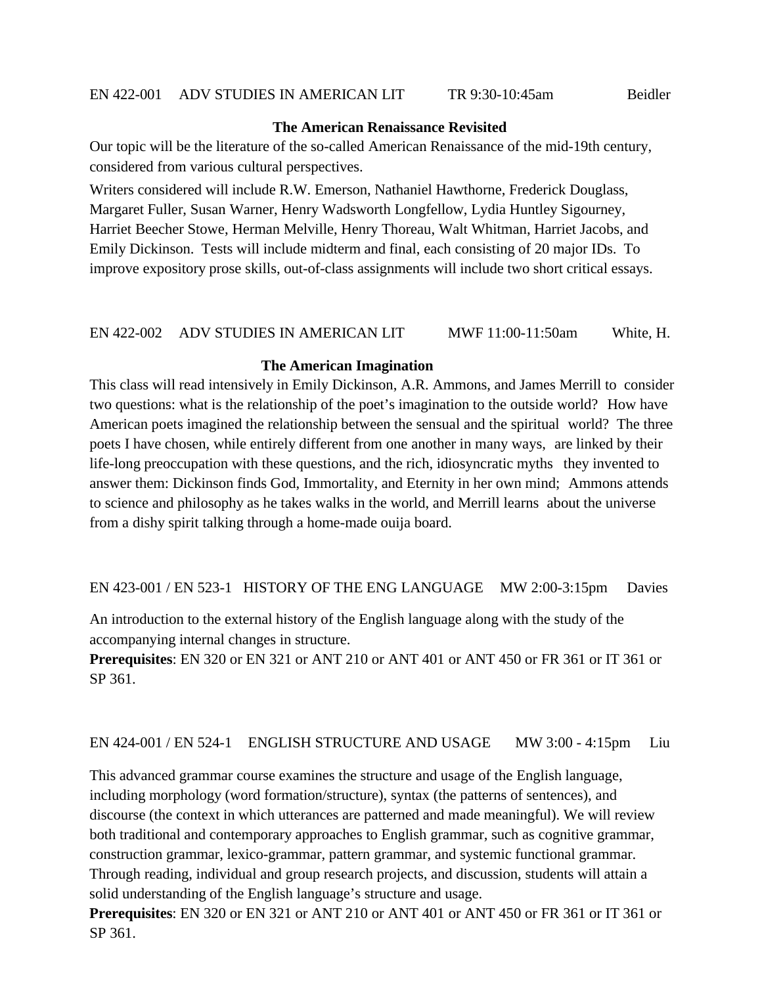#### **The American Renaissance Revisited**

Our topic will be the literature of the so-called American Renaissance of the mid-19th century, considered from various cultural perspectives.

Writers considered will include R.W. Emerson, Nathaniel Hawthorne, Frederick Douglass, Margaret Fuller, Susan Warner, Henry Wadsworth Longfellow, Lydia Huntley Sigourney, Harriet Beecher Stowe, Herman Melville, Henry Thoreau, Walt Whitman, Harriet Jacobs, and Emily Dickinson. Tests will include midterm and final, each consisting of 20 major IDs. To improve expository prose skills, out-of-class assignments will include two short critical essays.

### EN 422-002 ADV STUDIES IN AMERICAN LIT MWF 11:00-11:50am White, H.

#### **The American Imagination**

This class will read intensively in Emily Dickinson, A.R. Ammons, and James Merrill to consider two questions: what is the relationship of the poet's imagination to the outside world? How have American poets imagined the relationship between the sensual and the spiritual world? The three poets I have chosen, while entirely different from one another in many ways, are linked by their life-long preoccupation with these questions, and the rich, idiosyncratic myths they invented to answer them: Dickinson finds God, Immortality, and Eternity in her own mind; Ammons attends to science and philosophy as he takes walks in the world, and Merrill learns about the universe from a dishy spirit talking through a home-made ouija board.

EN 423-001 / EN 523-1 HISTORY OF THE ENG LANGUAGE MW 2:00-3:15pm Davies

An introduction to the external history of the English language along with the study of the accompanying internal changes in structure.

**Prerequisites**: EN 320 or EN 321 or ANT 210 or ANT 401 or ANT 450 or FR 361 or IT 361 or SP 361.

### EN 424-001 / EN 524-1 ENGLISH STRUCTURE AND USAGE MW 3:00 - 4:15pm Liu

This advanced grammar course examines the structure and usage of the English language, including morphology (word formation/structure), syntax (the patterns of sentences), and discourse (the context in which utterances are patterned and made meaningful). We will review both traditional and contemporary approaches to English grammar, such as cognitive grammar, construction grammar, lexico-grammar, pattern grammar, and systemic functional grammar. Through reading, individual and group research projects, and discussion, students will attain a solid understanding of the English language's structure and usage.

**Prerequisites**: EN 320 or EN 321 or ANT 210 or ANT 401 or ANT 450 or FR 361 or IT 361 or SP 361.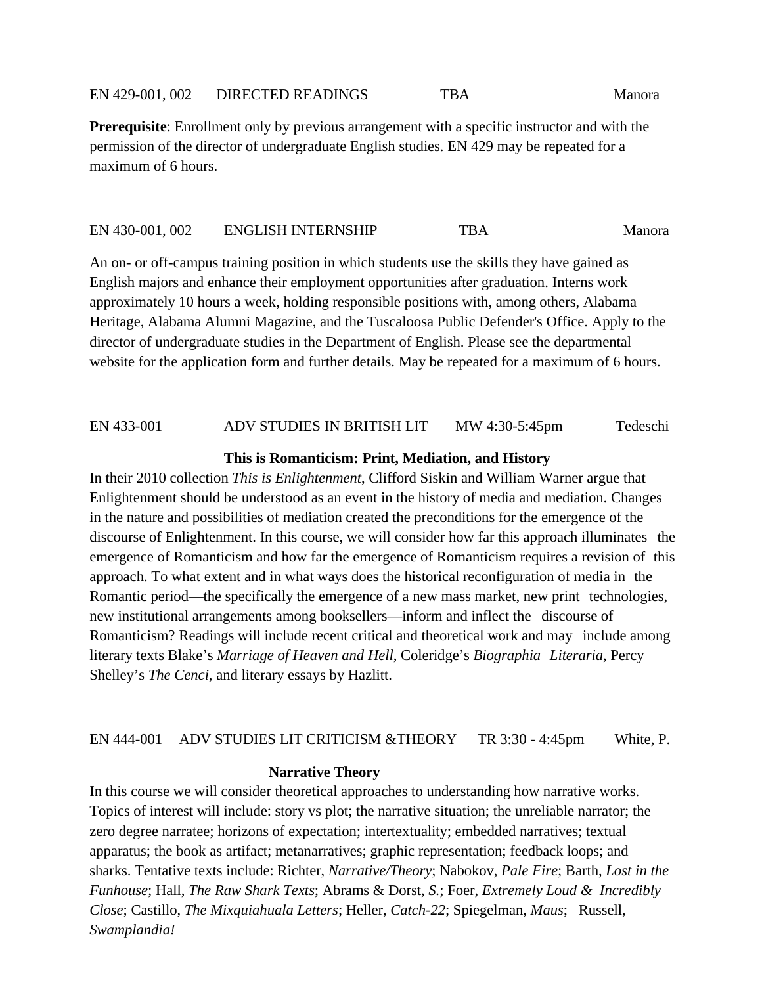**Prerequisite**: Enrollment only by previous arrangement with a specific instructor and with the permission of the director of undergraduate English studies. EN 429 may be repeated for a maximum of 6 hours.

#### EN 430-001, 002 ENGLISH INTERNSHIP TBA Manora

An on- or off-campus training position in which students use the skills they have gained as English majors and enhance their employment opportunities after graduation. Interns work approximately 10 hours a week, holding responsible positions with, among others, Alabama Heritage, Alabama Alumni Magazine, and the Tuscaloosa Public Defender's Office. Apply to the director of undergraduate studies in the Department of English. Please see the departmental website for the application form and further details. May be repeated for a maximum of 6 hours.

#### EN 433-001 ADV STUDIES IN BRITISH LIT MW 4:30-5:45pm Tedeschi

#### **This is Romanticism: Print, Mediation, and History**

In their 2010 collection *This is Enlightenment*, Clifford Siskin and William Warner argue that Enlightenment should be understood as an event in the history of media and mediation. Changes in the nature and possibilities of mediation created the preconditions for the emergence of the discourse of Enlightenment. In this course, we will consider how far this approach illuminates the emergence of Romanticism and how far the emergence of Romanticism requires a revision of this approach. To what extent and in what ways does the historical reconfiguration of media in the Romantic period—the specifically the emergence of a new mass market, new print technologies, new institutional arrangements among booksellers—inform and inflect the discourse of Romanticism? Readings will include recent critical and theoretical work and may include among literary texts Blake's *Marriage of Heaven and Hell*, Coleridge's *Biographia Literaria*, Percy Shelley's *The Cenci*, and literary essays by Hazlitt.

#### EN 444-001 ADV STUDIES LIT CRITICISM &THEORY TR 3:30 - 4:45pm White, P.

#### **Narrative Theory**

In this course we will consider theoretical approaches to understanding how narrative works. Topics of interest will include: story vs plot; the narrative situation; the unreliable narrator; the zero degree narratee; horizons of expectation; intertextuality; embedded narratives; textual apparatus; the book as artifact; metanarratives; graphic representation; feedback loops; and sharks. Tentative texts include: Richter, *Narrative/Theory*; Nabokov, *Pale Fire*; Barth, *Lost in the Funhouse*; Hall, *The Raw Shark Texts*; Abrams & Dorst, *S.*; Foer, *Extremely Loud & Incredibly Close*; Castillo, *The Mixquiahuala Letters*; Heller, *Catch-22*; Spiegelman, *Maus*; Russell, *Swamplandia!*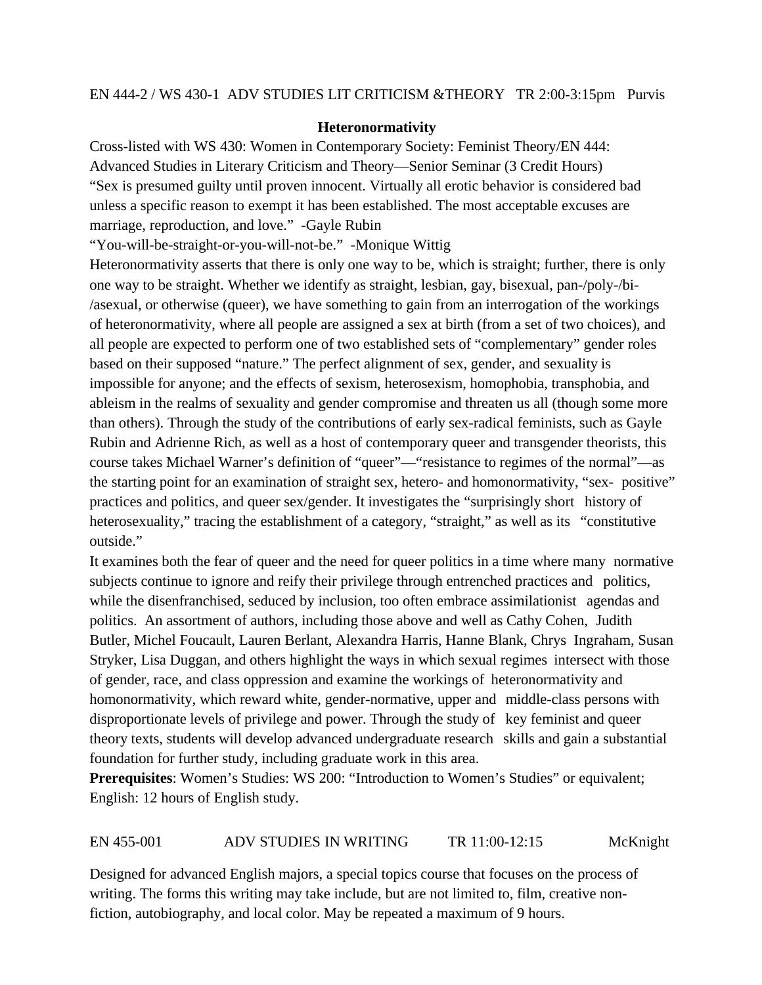### **Heteronormativity**

Cross-listed with WS 430: Women in Contemporary Society: Feminist Theory/EN 444: Advanced Studies in Literary Criticism and Theory—Senior Seminar (3 Credit Hours) "Sex is presumed guilty until proven innocent. Virtually all erotic behavior is considered bad unless a specific reason to exempt it has been established. The most acceptable excuses are marriage, reproduction, and love." -Gayle Rubin

"You-will-be-straight-or-you-will-not-be." -Monique Wittig

Heteronormativity asserts that there is only one way to be, which is straight; further, there is only one way to be straight. Whether we identify as straight, lesbian, gay, bisexual, pan-/poly-/bi- /asexual, or otherwise (queer), we have something to gain from an interrogation of the workings of heteronormativity, where all people are assigned a sex at birth (from a set of two choices), and all people are expected to perform one of two established sets of "complementary" gender roles based on their supposed "nature." The perfect alignment of sex, gender, and sexuality is impossible for anyone; and the effects of sexism, heterosexism, homophobia, transphobia, and ableism in the realms of sexuality and gender compromise and threaten us all (though some more than others). Through the study of the contributions of early sex-radical feminists, such as Gayle Rubin and Adrienne Rich, as well as a host of contemporary queer and transgender theorists, this course takes Michael Warner's definition of "queer"—"resistance to regimes of the normal"—as the starting point for an examination of straight sex, hetero- and homonormativity, "sex- positive" practices and politics, and queer sex/gender. It investigates the "surprisingly short history of heterosexuality," tracing the establishment of a category, "straight," as well as its "constitutive outside."

It examines both the fear of queer and the need for queer politics in a time where many normative subjects continue to ignore and reify their privilege through entrenched practices and politics, while the disenfranchised, seduced by inclusion, too often embrace assimilationist agendas and politics. An assortment of authors, including those above and well as Cathy Cohen, Judith Butler, Michel Foucault, Lauren Berlant, Alexandra Harris, Hanne Blank, Chrys Ingraham, Susan Stryker, Lisa Duggan, and others highlight the ways in which sexual regimes intersect with those of gender, race, and class oppression and examine the workings of heteronormativity and homonormativity, which reward white, gender-normative, upper and middle-class persons with disproportionate levels of privilege and power. Through the study of key feminist and queer theory texts, students will develop advanced undergraduate research skills and gain a substantial foundation for further study, including graduate work in this area.

**Prerequisites**: Women's Studies: WS 200: "Introduction to Women's Studies" or equivalent; English: 12 hours of English study.

# EN 455-001 ADV STUDIES IN WRITING TR 11:00-12:15 McKnight

Designed for advanced English majors, a special topics course that focuses on the process of writing. The forms this writing may take include, but are not limited to, film, creative nonfiction, autobiography, and local color. May be repeated a maximum of 9 hours.